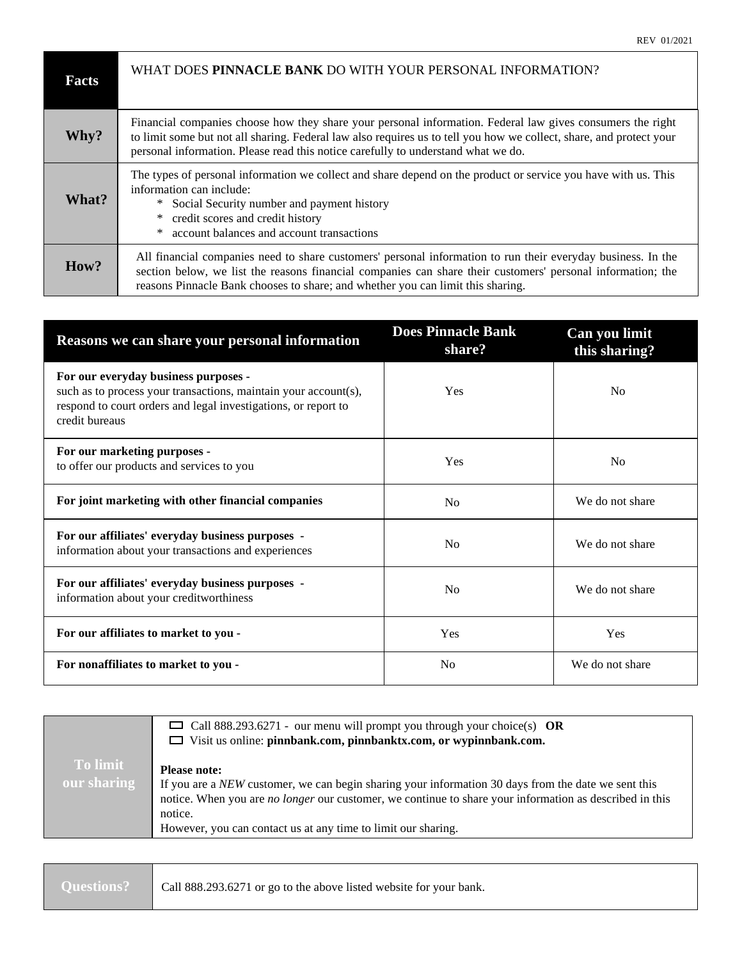| Facts | WHAT DOES PINNACLE BANK DO WITH YOUR PERSONAL INFORMATION?                                                                                                                                                                                                                                                             |
|-------|------------------------------------------------------------------------------------------------------------------------------------------------------------------------------------------------------------------------------------------------------------------------------------------------------------------------|
| Why?  | Financial companies choose how they share your personal information. Federal law gives consumers the right<br>to limit some but not all sharing. Federal law also requires us to tell you how we collect, share, and protect your<br>personal information. Please read this notice carefully to understand what we do. |
| What? | The types of personal information we collect and share depend on the product or service you have with us. This<br>information can include:<br>Social Security number and payment history<br>$*$<br>credit scores and credit history<br>*<br>account balances and account transactions<br>∗                             |
| How?  | All financial companies need to share customers' personal information to run their everyday business. In the<br>section below, we list the reasons financial companies can share their customers' personal information; the<br>reasons Pinnacle Bank chooses to share; and whether you can limit this sharing.         |

| Reasons we can share your personal information                                                                                                                                              | <b>Does Pinnacle Bank</b><br>share? | Can you limit<br>this sharing? |
|---------------------------------------------------------------------------------------------------------------------------------------------------------------------------------------------|-------------------------------------|--------------------------------|
| For our everyday business purposes -<br>such as to process your transactions, maintain your account(s),<br>respond to court orders and legal investigations, or report to<br>credit bureaus | Yes                                 | N <sub>0</sub>                 |
| For our marketing purposes -<br>to offer our products and services to you                                                                                                                   | Yes                                 | N <sub>0</sub>                 |
| For joint marketing with other financial companies                                                                                                                                          | N <sub>0</sub>                      | We do not share                |
| For our affiliates' everyday business purposes -<br>information about your transactions and experiences                                                                                     | No                                  | We do not share                |
| For our affiliates' everyday business purposes -<br>information about your creditworthiness                                                                                                 | N <sub>0</sub>                      | We do not share                |
| For our affiliates to market to you -                                                                                                                                                       | Yes                                 | Yes                            |
| For nonaffiliates to market to you -                                                                                                                                                        | No                                  | We do not share                |

|                                | $\Box$ Call 888.293.6271 - our menu will prompt you through your choice(s) OR<br>$\Box$ Visit us online: pinnbank.com, pinnbanktx.com, or wypinnbank.com.                                                                                                                                                                |
|--------------------------------|--------------------------------------------------------------------------------------------------------------------------------------------------------------------------------------------------------------------------------------------------------------------------------------------------------------------------|
| <b>To limit</b><br>our sharing | <b>Please note:</b><br>If you are a NEW customer, we can begin sharing your information 30 days from the date we sent this<br>notice. When you are <i>no longer</i> our customer, we continue to share your information as described in this<br>notice.<br>However, you can contact us at any time to limit our sharing. |

|  | Questions?   Call 888.293.6271 or go to the above listed website for your bank. |
|--|---------------------------------------------------------------------------------|
|--|---------------------------------------------------------------------------------|